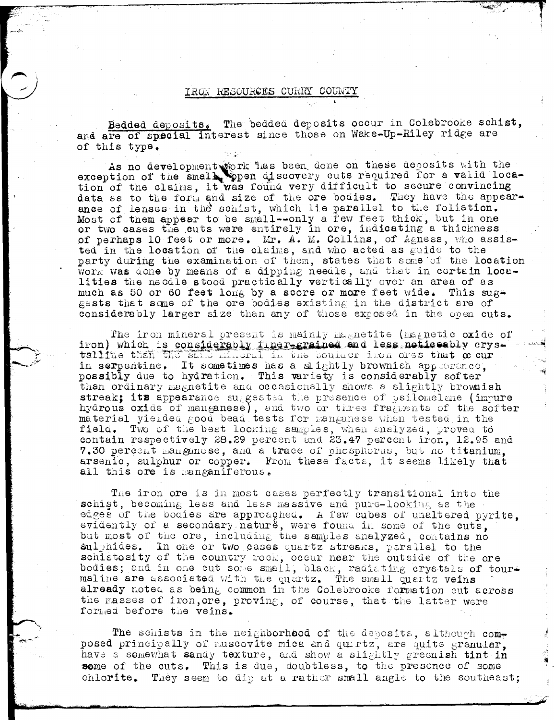## IRON RESOURCES CURRY COUNTY

Bedded deposits. The bedded deposits occur in Colebrooke schist, and are of special interest since those on Wake-Up-Riley ridge are of this type.

As no development work has been done on these deposits with the exception of the small, open discovery cuts required for a valid loca-<br>tion of the claims, it was found very difficult to secure convincing data as to the form and size of the ore bodies. They have the appear-<br>ance of lenses in the schist, which lie parallel to the foliation. Most of them appear to be small--only a few feet thick, but in one or two cases the cuts were entirely in ore, indicating a thickness of perhaps 10 feet or more. Mr. A. M. Collins, of Agness, who assisted in the location of the claims, and who acted as guide to the party during the examination of them, states that some of the location work was done by means of a dipping needle, and that in certain localities the needle stood practically vertically over an area of as much as 50 or 60 feet long by a score or more feet wide. This suggests that some of the ore bodies existing in the district are of considerably larger size than any of those exposed in the open cuts.

The iron mineral present is mainly magnetite (magnetic oxide of iron) which is considerably finer-grained and less noticeably crys-<br>taline than the said mineral in the boulder ilon ores that  $\alpha$  cur in serpentine. It sometimes has a slightly brownish appearance, possibly due to hydration. This variety is considerably softer than ordinary magnetite and occasionally shows a slightly brownish streak; its appearance suggestsd the presence of psilomelane (impure hydrous oxide of manganese), and two or three fragments of the softer material yielded good bead tests for manganese when tested in the field. Two of the best looking samples, when analyzed, proved to contain respectively 28.29 percent and 23.47 percent iron, 12.95 and 7.30 percent manganese, and a trace of phosphorus, but no titanium, arsenic, sulphur or copper. From these facts, it seems likely that all this ore is manganiferous.

The iron ore is in most cases perfectly transitional into the schist, becoming less and less massive and pure-looking as the edges of the bodies are approached. A few cubes of unaltered pyrite. evidently of a secondary nature, were found in some of the cuts, but most of the ore, including the samples analyzed, contains no sulphides. In one or two cases quartz streaks, parallel to the schistosity of the country rock, occur near the outside of the ore bodies; and in one cut some small, black, radiating crystals of tourmaline are associated with the quartz. The small quartz veins already noted as being common in the Colebrooke formation cut across the masses of iron, ore, proving, of course, that the latter were formed before the veins.

The schists in the neighborhood of the deposits, although composed principally of muscovite mica and quartz, are quite granular, have a somewhat sandy texture, and show a slightly greenish tint in some of the cuts. This is due, doubtless, to the presence of some chlorite. They seem to dip at a rather small angle to the southeast;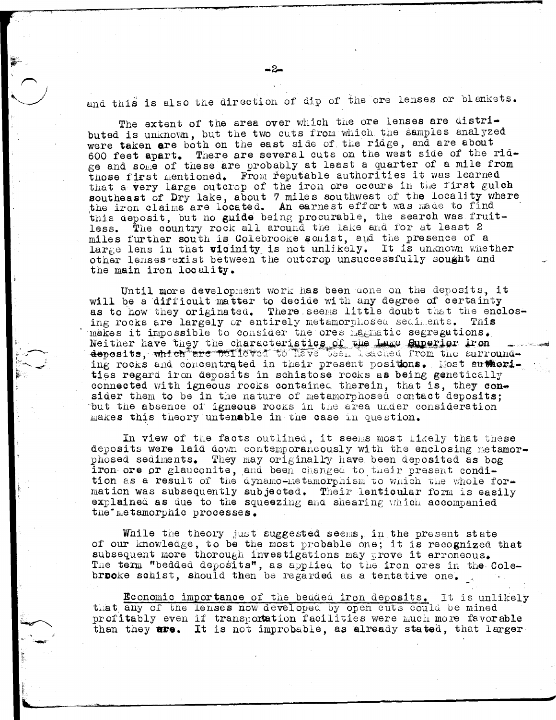and this is also the direction of dip of the ore lenses or blankets.

The extent of the area over which the ore lenses are distributed is unknown, but the two cuts from which the samples analyzed were taken are both on the east side of the ridge, and are about 600 feet apart. There are several cuts on the west side of the ridge and some of these are probably at least a quarter of a mile from those first mentioned. From reputable authorities it was learned that a very large outcrop of the iron ore occurs in the first gulch southeast of Dry lake, about 7 miles southwest of the locality where the iron claims are located. An earnest effort was made to find this deposit, but no guide being procurable, the search was fruit-The country rock all around the lake and for at least 2 less. miles further south is Colebrooke schist, and the presence of a large lens in that vicinity is not unlikely. It is unknown whether other lenses exist between the outcrop unsuccessfully sought and the main iron locality.

Until more development work has been done on the deposits, it will be a difficult matter to decide with any degree of certainty as to how they originated. There seems little doubt that the enclosing rocks are largely or entirely metamorphosed sediments. This makes it impossible to consider the ores magnetic segregations. Neither have they the characteristics of the Lake Superior iron deposits, which are believed to have been leadined from the surrounding rocks and concentrated in their present positions. Most authorities regard iron deposits in schistose rocks as being genetically connected with igneous rocks contained therein, that is, they consider them to be in the nature of metamorphosed contact deposits; but the absence of igneous rocks in the area under consideration makes this theory untenable in the case in question.

In view of the facts outlined, it seems most likely that these deposits were laid down contemporaneously with the enclosing metamorphosed sediments. They may originally have been deposited as bog iron ore or glauconite, and been changed to their present condition as a result of the dynamo-metamorphism to which the whole formation was subsequently subjected. Their lenticular form is easily explained as due to the squeezing and shearing which accompanied the metamorphic processes.

While the theory just suggested seems, in the present state of our knowledge, to be the most probable one; it is recognized that subsequent more thorough investigations may prove it erroneous. The term "bedded deposits", as applied to the iron ores in the Colebrooke schist, should then be regarded as a tentative one.

Economic importance of the bedded iron deposits. It is unlikely that any of the lenses now developed by open cuts could be mined profitably even if transportation facilities were much more favorable than they are. It is not improbable, as already stated, that larger